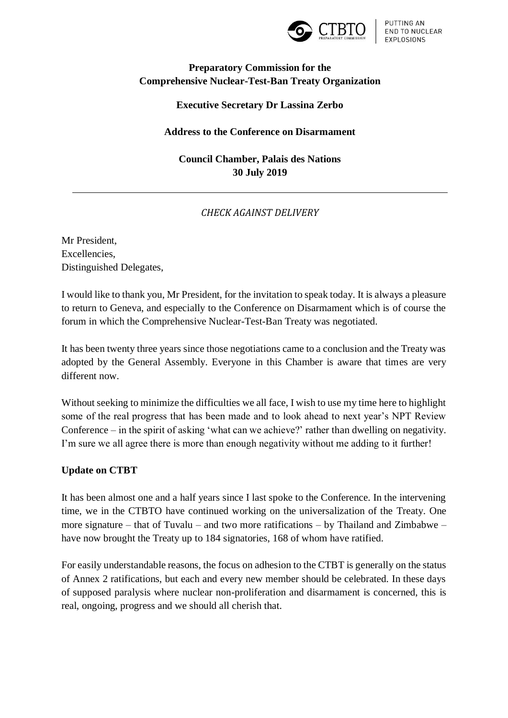

# **Preparatory Commission for the Comprehensive Nuclear-Test-Ban Treaty Organization**

### **Executive Secretary Dr Lassina Zerbo**

#### **Address to the Conference on Disarmament**

# **Council Chamber, Palais des Nations 30 July 2019**

## *CHECK AGAINST DELIVERY*

Mr President, Excellencies, Distinguished Delegates,

I would like to thank you, Mr President, for the invitation to speak today. It is always a pleasure to return to Geneva, and especially to the Conference on Disarmament which is of course the forum in which the Comprehensive Nuclear-Test-Ban Treaty was negotiated.

It has been twenty three years since those negotiations came to a conclusion and the Treaty was adopted by the General Assembly. Everyone in this Chamber is aware that times are very different now.

Without seeking to minimize the difficulties we all face, I wish to use my time here to highlight some of the real progress that has been made and to look ahead to next year's NPT Review Conference – in the spirit of asking 'what can we achieve?' rather than dwelling on negativity. I'm sure we all agree there is more than enough negativity without me adding to it further!

## **Update on CTBT**

It has been almost one and a half years since I last spoke to the Conference. In the intervening time, we in the CTBTO have continued working on the universalization of the Treaty. One more signature – that of Tuvalu – and two more ratifications – by Thailand and Zimbabwe – have now brought the Treaty up to 184 signatories, 168 of whom have ratified.

For easily understandable reasons, the focus on adhesion to the CTBT is generally on the status of Annex 2 ratifications, but each and every new member should be celebrated. In these days of supposed paralysis where nuclear non-proliferation and disarmament is concerned, this is real, ongoing, progress and we should all cherish that.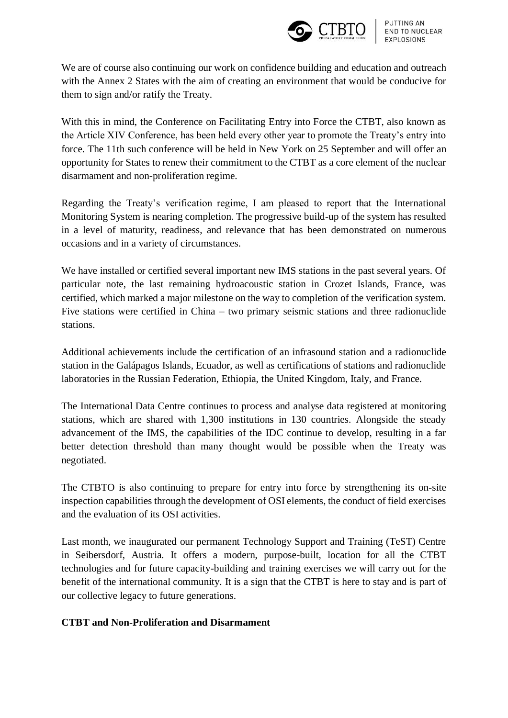

We are of course also continuing our work on confidence building and education and outreach with the Annex 2 States with the aim of creating an environment that would be conducive for them to sign and/or ratify the Treaty.

With this in mind, the Conference on Facilitating Entry into Force the CTBT, also known as the Article XIV Conference, has been held every other year to promote the Treaty's entry into force. The 11th such conference will be held in New York on 25 September and will offer an opportunity for States to renew their commitment to the CTBT as a core element of the nuclear disarmament and non-proliferation regime.

Regarding the Treaty's verification regime, I am pleased to report that the International Monitoring System is nearing completion. The progressive build-up of the system has resulted in a level of maturity, readiness, and relevance that has been demonstrated on numerous occasions and in a variety of circumstances.

We have installed or certified several important new IMS stations in the past several years. Of particular note, the last remaining hydroacoustic station in Crozet Islands, France, was certified, which marked a major milestone on the way to completion of the verification system. Five stations were certified in China – two primary seismic stations and three radionuclide stations.

Additional achievements include the certification of an infrasound station and a radionuclide station in the Galápagos Islands, Ecuador, as well as certifications of stations and radionuclide laboratories in the Russian Federation, Ethiopia, the United Kingdom, Italy, and France.

The International Data Centre continues to process and analyse data registered at monitoring stations, which are shared with 1,300 institutions in 130 countries. Alongside the steady advancement of the IMS, the capabilities of the IDC continue to develop, resulting in a far better detection threshold than many thought would be possible when the Treaty was negotiated.

The CTBTO is also continuing to prepare for entry into force by strengthening its on-site inspection capabilities through the development of OSI elements, the conduct of field exercises and the evaluation of its OSI activities.

Last month, we inaugurated our permanent Technology Support and Training (TeST) Centre in Seibersdorf, Austria. It offers a modern, purpose-built, location for all the CTBT technologies and for future capacity-building and training exercises we will carry out for the benefit of the international community. It is a sign that the CTBT is here to stay and is part of our collective legacy to future generations.

# **CTBT and Non-Proliferation and Disarmament**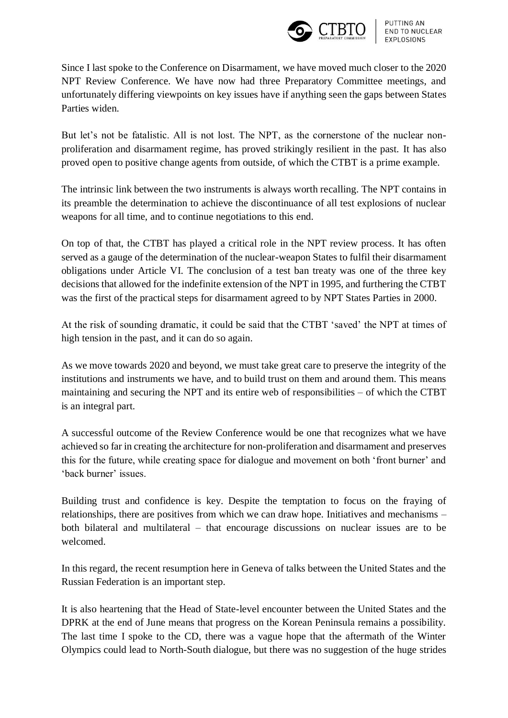

Since I last spoke to the Conference on Disarmament, we have moved much closer to the 2020 NPT Review Conference. We have now had three Preparatory Committee meetings, and unfortunately differing viewpoints on key issues have if anything seen the gaps between States Parties widen.

But let's not be fatalistic. All is not lost. The NPT, as the cornerstone of the nuclear nonproliferation and disarmament regime, has proved strikingly resilient in the past. It has also proved open to positive change agents from outside, of which the CTBT is a prime example.

The intrinsic link between the two instruments is always worth recalling. The NPT contains in its preamble the determination to achieve the discontinuance of all test explosions of nuclear weapons for all time, and to continue negotiations to this end.

On top of that, the CTBT has played a critical role in the NPT review process. It has often served as a gauge of the determination of the nuclear-weapon States to fulfil their disarmament obligations under Article VI. The conclusion of a test ban treaty was one of the three key decisions that allowed for the indefinite extension of the NPT in 1995, and furthering the CTBT was the first of the practical steps for disarmament agreed to by NPT States Parties in 2000.

At the risk of sounding dramatic, it could be said that the CTBT 'saved' the NPT at times of high tension in the past, and it can do so again.

As we move towards 2020 and beyond, we must take great care to preserve the integrity of the institutions and instruments we have, and to build trust on them and around them. This means maintaining and securing the NPT and its entire web of responsibilities – of which the CTBT is an integral part.

A successful outcome of the Review Conference would be one that recognizes what we have achieved so far in creating the architecture for non-proliferation and disarmament and preserves this for the future, while creating space for dialogue and movement on both 'front burner' and 'back burner' issues.

Building trust and confidence is key. Despite the temptation to focus on the fraying of relationships, there are positives from which we can draw hope. Initiatives and mechanisms – both bilateral and multilateral – that encourage discussions on nuclear issues are to be welcomed.

In this regard, the recent resumption here in Geneva of talks between the United States and the Russian Federation is an important step.

It is also heartening that the Head of State-level encounter between the United States and the DPRK at the end of June means that progress on the Korean Peninsula remains a possibility. The last time I spoke to the CD, there was a vague hope that the aftermath of the Winter Olympics could lead to North-South dialogue, but there was no suggestion of the huge strides